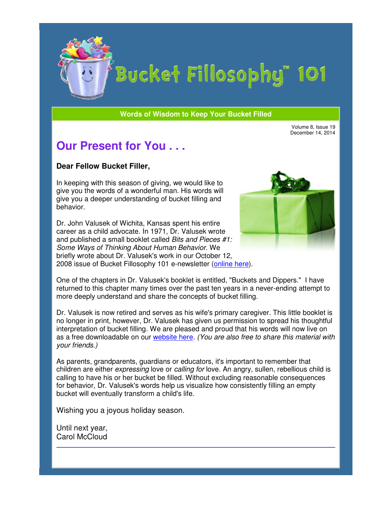

# Bucket Fillosophy" 101

#### **Words of Wisdom to Keep Your Bucket Filled Wisdom**

Volume 8, Issue 19 December 14, 2014

### **Our Present for You . . .**

#### **Dear Fellow Bucket Filler Filler,**

In keeping with this season of giving, we would like to In keeping with this season of giving, we would like to<br>give you the words of a wonderful man. His words will give you a deeper understanding of bucket filling and behavior.

Dr. John Valusek of Wichita, Kansas spent his entire career as a child advocate. In 1971, Dr. Valusek wrote and published a small booklet called *Bits and Pieces #1: Some Ways of Thinking About Human Behavior.* We briefly wrote about Dr. Valusek's work in our October 12, briefly wrote about Dr. Valusek's work in our October 12,<br>2008 issue of Bucket Fillosophy 101 e-newsletter (<u>online here</u>). u a deeper understanding of bucket filling<br>pr.<br>In Valusek of Wichita, Kansas spent his er<br>as a child advocate. In 1971, Dr. Valusek



One of the chapters in Dr. Valusek's booklet is entitled, "Buckets and Dippers." returned to this chapter many times over the past ten years in a never-ending attempt to more deeply understand and share the concepts of bucket filling.

Dr. Valusek is now retired and serves as his wife's primary caregiver. This little booklet is no longer in print, however, Dr. Valusek has given us permission to spread his thoughtful interpretation of bucket filling. We are pleased and proud that his words will now live on as a free downloadable on our *website here. (You are also free to share this material with your friends.)* retired and serves as his wife's primary caregiver. This little bookl<br>owever, Dr. Valusek has given us permission to spread his thoug<br>:ket filling. We are pleased and proud that his words will now live **Sent for You...**<br> **Bucket Filler,**<br>
this season of giving, we would like to<br>
mords of a wonderful man. His words will<br>
eper understanding of bucket filling and<br>
sek of Wichita, Kansas spent his entire<br>
hild advocate. In 1

As parents, grandparents, guardians or educators, it's important to remember that children are either *expressing* love or *calling for* love. An angry, sullen, rebellious child is calling to have his or her bucket be filled. Without excluding reasonable consequences for behavior, Dr. Valusek's words help us visualize how consistently filling an empty bucket will eventually transform a child's life.

Wishing you a joyous holiday season.

Until next year, Carol McCloud